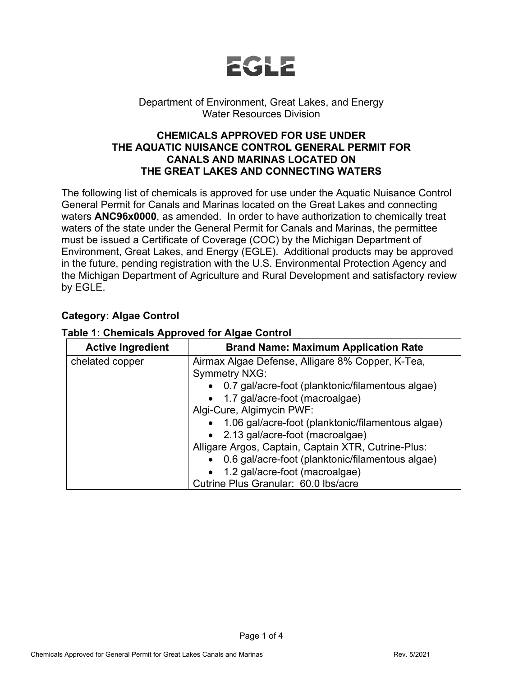

### Department of Environment, Great Lakes, and Energy Water Resources Division

### **CHEMICALS APPROVED FOR USE UNDER THE AQUATIC NUISANCE CONTROL GENERAL PERMIT FOR CANALS AND MARINAS LOCATED ON THE GREAT LAKES AND CONNECTING WATERS**

The following list of chemicals is approved for use under the Aquatic Nuisance Control General Permit for Canals and Marinas located on the Great Lakes and connecting waters **ANC96x0000**, as amended. In order to have authorization to chemically treat waters of the state under the General Permit for Canals and Marinas, the permittee must be issued a Certificate of Coverage (COC) by the Michigan Department of Environment, Great Lakes, and Energy (EGLE). Additional products may be approved in the future, pending registration with the U.S. Environmental Protection Agency and the Michigan Department of Agriculture and Rural Development and satisfactory review by EGLE.

### **Category: Algae Control**

| <b>Active Ingredient</b> | <b>Brand Name: Maximum Application Rate</b>                              |
|--------------------------|--------------------------------------------------------------------------|
| chelated copper          | Airmax Algae Defense, Alligare 8% Copper, K-Tea,<br><b>Symmetry NXG:</b> |
|                          | • 0.7 gal/acre-foot (planktonic/filamentous algae)                       |
|                          | • 1.7 gal/acre-foot (macroalgae)                                         |
|                          | Algi-Cure, Algimycin PWF:                                                |
|                          | 1.06 gal/acre-foot (planktonic/filamentous algae)                        |
|                          | • 2.13 gal/acre-foot (macroalgae)                                        |
|                          | Alligare Argos, Captain, Captain XTR, Cutrine-Plus:                      |
|                          | 0.6 gal/acre-foot (planktonic/filamentous algae)<br>$\bullet$            |
|                          | 1.2 gal/acre-foot (macroalgae)<br>$\bullet$                              |
|                          | Cutrine Plus Granular: 60.0 lbs/acre                                     |

#### **Table 1: Chemicals Approved for Algae Control**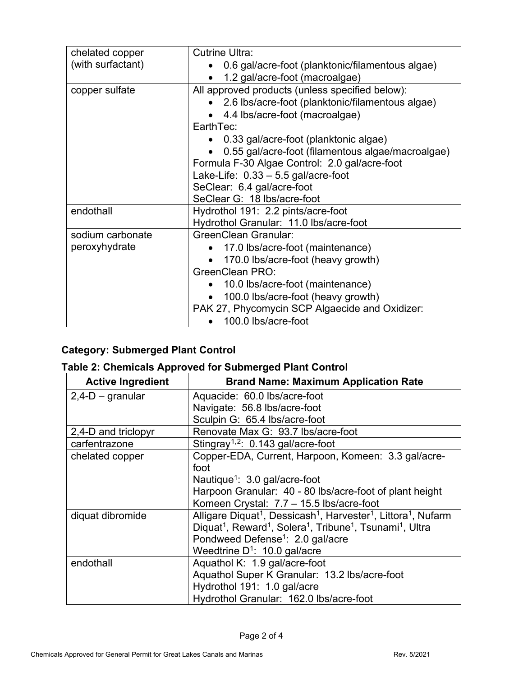| chelated copper   | <b>Cutrine Ultra:</b>                                          |
|-------------------|----------------------------------------------------------------|
| (with surfactant) | • 0.6 gal/acre-foot (planktonic/filamentous algae)             |
|                   | 1.2 gal/acre-foot (macroalgae)                                 |
| copper sulfate    | All approved products (unless specified below):                |
|                   | • 2.6 lbs/acre-foot (planktonic/filamentous algae)             |
|                   | 4.4 lbs/acre-foot (macroalgae)<br>$\bullet$                    |
|                   | EarthTec:                                                      |
|                   | 0.33 gal/acre-foot (planktonic algae)                          |
|                   | 0.55 gal/acre-foot (filamentous algae/macroalgae)<br>$\bullet$ |
|                   | Formula F-30 Algae Control: 2.0 gal/acre-foot                  |
|                   | Lake-Life: 0.33 - 5.5 gal/acre-foot                            |
|                   | SeClear: 6.4 gal/acre-foot                                     |
|                   | SeClear G: 18 lbs/acre-foot                                    |
| endothall         | Hydrothol 191: 2.2 pints/acre-foot                             |
|                   | Hydrothol Granular: 11.0 lbs/acre-foot                         |
| sodium carbonate  | <b>GreenClean Granular:</b>                                    |
| peroxyhydrate     | • 17.0 lbs/acre-foot (maintenance)                             |
|                   | 170.0 lbs/acre-foot (heavy growth)                             |
|                   | <b>GreenClean PRO:</b>                                         |
|                   | • 10.0 lbs/acre-foot (maintenance)                             |
|                   | 100.0 lbs/acre-foot (heavy growth)                             |
|                   | PAK 27, Phycomycin SCP Algaecide and Oxidizer:                 |
|                   | 100.0 lbs/acre-foot                                            |

# **Category: Submerged Plant Control**

### **Table 2: Chemicals Approved for Submerged Plant Control**

<span id="page-1-1"></span><span id="page-1-0"></span>

| <b>Active Ingredient</b> | <b>Brand Name: Maximum Application Rate</b>                                                                           |
|--------------------------|-----------------------------------------------------------------------------------------------------------------------|
| $2,4-D$ – granular       | Aquacide: 60.0 lbs/acre-foot                                                                                          |
|                          | Navigate: 56.8 lbs/acre-foot                                                                                          |
|                          | Sculpin G: 65.4 lbs/acre-foot                                                                                         |
| 2,4-D and triclopyr      | Renovate Max G: 93.7 lbs/acre-foot                                                                                    |
| carfentrazone            | Stingray <sup>1,2</sup> : $0.143$ gal/acre-foot                                                                       |
| chelated copper          | Copper-EDA, Current, Harpoon, Komeen: 3.3 gal/acre-                                                                   |
|                          | foot                                                                                                                  |
|                          | Nautique <sup>1</sup> : 3.0 gal/acre-foot                                                                             |
|                          | Harpoon Granular: 40 - 80 lbs/acre-foot of plant height                                                               |
|                          | Komeen Crystal: 7.7 - 15.5 lbs/acre-foot                                                                              |
| diquat dibromide         | Alligare Diquat <sup>1</sup> , Dessicash <sup>1</sup> , Harvester <sup>1</sup> , Littora <sup>1</sup> , Nufarm        |
|                          | Diquat <sup>1</sup> , Reward <sup>1</sup> , Solera <sup>1</sup> , Tribune <sup>1</sup> , Tsunami <sup>1</sup> , Ultra |
|                          | Pondweed Defense <sup>1</sup> : 2.0 gal/acre                                                                          |
|                          | Weedtrine $D^1$ : 10.0 gal/acre                                                                                       |
| endothall                | Aquathol K: 1.9 gal/acre-foot                                                                                         |
|                          | Aquathol Super K Granular: 13.2 lbs/acre-foot                                                                         |
|                          | Hydrothol 191: 1.0 gal/acre                                                                                           |
|                          | Hydrothol Granular: 162.0 lbs/acre-foot                                                                               |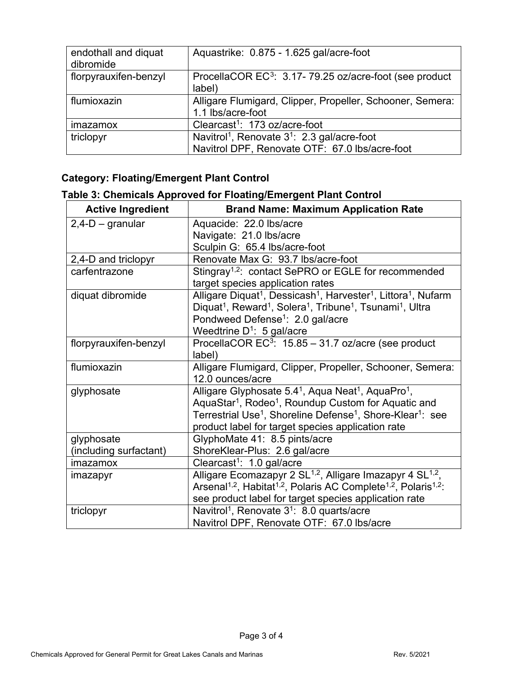<span id="page-2-0"></span>

| endothall and diquat<br>dibromide | Aquastrike: 0.875 - 1.625 gal/acre-foot                                        |
|-----------------------------------|--------------------------------------------------------------------------------|
| florpyrauxifen-benzyl             | ProcellaCOR EC <sup>3</sup> : 3.17-79.25 oz/acre-foot (see product<br>label)   |
| flumioxazin                       | Alligare Flumigard, Clipper, Propeller, Schooner, Semera:<br>1.1 lbs/acre-foot |
| imazamox                          | Clearcast <sup>1</sup> : 173 oz/acre-foot                                      |
| triclopyr                         | Navitrol <sup>1</sup> , Renovate 3 <sup>1</sup> : 2.3 gal/acre-foot            |
|                                   | Navitrol DPF, Renovate OTF: 67.0 lbs/acre-foot                                 |

## **Category: Floating/Emergent Plant Control**

## **Table 3: Chemicals Approved for Floating/Emergent Plant Control**

| <b>Active Ingredient</b> | <b>Brand Name: Maximum Application Rate</b>                                                                           |
|--------------------------|-----------------------------------------------------------------------------------------------------------------------|
| $2,4$ -D – granular      | Aquacide: 22.0 lbs/acre                                                                                               |
|                          | Navigate: 21.0 lbs/acre                                                                                               |
|                          | Sculpin G: 65.4 lbs/acre-foot                                                                                         |
| 2,4-D and triclopyr      | Renovate Max G: 93.7 lbs/acre-foot                                                                                    |
| carfentrazone            | Stingray <sup>1,2</sup> : contact SePRO or EGLE for recommended                                                       |
|                          | target species application rates                                                                                      |
| diquat dibromide         | Alligare Diquat <sup>1</sup> , Dessicash <sup>1</sup> , Harvester <sup>1</sup> , Littora <sup>1</sup> , Nufarm        |
|                          | Diquat <sup>1</sup> , Reward <sup>1</sup> , Solera <sup>1</sup> , Tribune <sup>1</sup> , Tsunami <sup>1</sup> , Ultra |
|                          | Pondweed Defense <sup>1</sup> : 2.0 gal/acre                                                                          |
|                          | Weedtrine $D^1$ : 5 gal/acre                                                                                          |
| florpyrauxifen-benzyl    | ProcellaCOR EC <sup>3</sup> : 15.85 - 31.7 oz/acre (see product                                                       |
|                          | label)                                                                                                                |
| flumioxazin              | Alligare Flumigard, Clipper, Propeller, Schooner, Semera:                                                             |
|                          | 12.0 ounces/acre                                                                                                      |
| glyphosate               | Alligare Glyphosate 5.4 <sup>1</sup> , Aqua Neat <sup>1</sup> , AquaPro <sup>1</sup> ,                                |
|                          | AquaStar <sup>1</sup> , Rodeo <sup>1</sup> , Roundup Custom for Aquatic and                                           |
|                          | Terrestrial Use <sup>1</sup> , Shoreline Defense <sup>1</sup> , Shore-Klear <sup>1</sup> : see                        |
|                          | product label for target species application rate                                                                     |
| glyphosate               | GlyphoMate 41: 8.5 pints/acre                                                                                         |
| (including surfactant)   | ShoreKlear-Plus: 2.6 gal/acre                                                                                         |
| imazamox                 | Clearcast <sup>1</sup> : 1.0 gal/acre                                                                                 |
| imazapyr                 | Alligare Ecomazapyr 2 SL <sup>1,2</sup> , Alligare Imazapyr 4 SL <sup>1,2</sup> ,                                     |
|                          | Arsenal <sup>1,2</sup> , Habitat <sup>1,2</sup> , Polaris AC Complete <sup>1,2</sup> , Polaris <sup>1,2</sup> :       |
|                          | see product label for target species application rate                                                                 |
| triclopyr                | Navitrol <sup>1</sup> , Renovate 3 <sup>1</sup> : 8.0 quarts/acre                                                     |
|                          | Navitrol DPF, Renovate OTF: 67.0 lbs/acre                                                                             |

Page 3 of 4